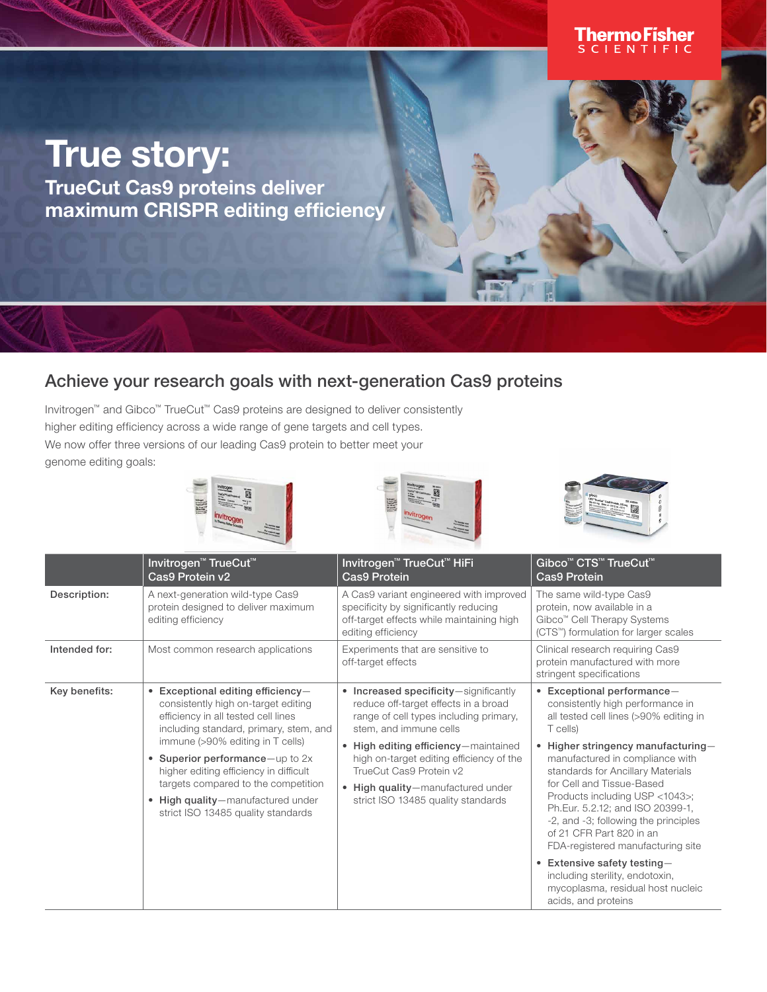## **ThermoFisher**<br>SCLENTIFIC

## True story:

TrueCut Cas9 proteins deliver maximum CRISPR editing efficiency

## Achieve your research goals with next-generation Cas9 proteins

Invitrogen™ and Gibco™ TrueCut™ Cas9 proteins are designed to deliver consistently higher editing efficiency across a wide range of gene targets and cell types. We now offer three versions of our leading Cas9 protein to better meet your genome editing goals:







|               | Invitrogen <sup>™</sup> TrueCut <sup>™</sup><br>Cas9 Protein v2                                                                                                                                                                                                                                                                                                                                | Invitrogen <sup>™</sup> TrueCut <sup>™</sup> HiFi<br>Cas9 Protein                                                                                                                                                                                                                                                                         | Gibco <sup>™</sup> CTS <sup>™</sup> TrueCut <sup>™</sup><br><b>Cas9 Protein</b>                                                                                                                                                                                                                                                                                                                                                                                                                                                                     |  |
|---------------|------------------------------------------------------------------------------------------------------------------------------------------------------------------------------------------------------------------------------------------------------------------------------------------------------------------------------------------------------------------------------------------------|-------------------------------------------------------------------------------------------------------------------------------------------------------------------------------------------------------------------------------------------------------------------------------------------------------------------------------------------|-----------------------------------------------------------------------------------------------------------------------------------------------------------------------------------------------------------------------------------------------------------------------------------------------------------------------------------------------------------------------------------------------------------------------------------------------------------------------------------------------------------------------------------------------------|--|
| Description:  | A next-generation wild-type Cas9<br>protein designed to deliver maximum<br>editing efficiency                                                                                                                                                                                                                                                                                                  | A Cas9 variant engineered with improved<br>specificity by significantly reducing<br>off-target effects while maintaining high<br>editing efficiency                                                                                                                                                                                       | The same wild-type Cas9<br>protein, now available in a<br>Gibco <sup>™</sup> Cell Therapy Systems<br>(CTS <sup>™</sup> ) formulation for larger scales                                                                                                                                                                                                                                                                                                                                                                                              |  |
| Intended for: | Most common research applications                                                                                                                                                                                                                                                                                                                                                              | Experiments that are sensitive to<br>off-target effects                                                                                                                                                                                                                                                                                   | Clinical research requiring Cas9<br>protein manufactured with more<br>stringent specifications                                                                                                                                                                                                                                                                                                                                                                                                                                                      |  |
| Key benefits: | • Exceptional editing efficiency-<br>consistently high on-target editing<br>efficiency in all tested cell lines<br>including standard, primary, stem, and<br>immune (>90% editing in T cells)<br>• Superior performance-up to $2x$<br>higher editing efficiency in difficult<br>targets compared to the competition<br>• High quality-manufactured under<br>strict ISO 13485 quality standards | • Increased specificity-significantly<br>reduce off-target effects in a broad<br>range of cell types including primary,<br>stem, and immune cells<br>High editing efficiency-maintained<br>high on-target editing efficiency of the<br>TrueCut Cas9 Protein v2<br>• High quality-manufactured under<br>strict ISO 13485 quality standards | • Exceptional performance-<br>consistently high performance in<br>all tested cell lines (>90% editing in<br>T cells)<br>Higher stringency manufacturing-<br>manufactured in compliance with<br>standards for Ancillary Materials<br>for Cell and Tissue-Based<br>Products including USP <1043>;<br>Ph.Eur. 5.2.12; and ISO 20399-1,<br>-2, and -3; following the principles<br>of 21 CFR Part 820 in an<br>FDA-registered manufacturing site<br>• Extensive safety testing-<br>including sterility, endotoxin,<br>mycoplasma, residual host nucleic |  |